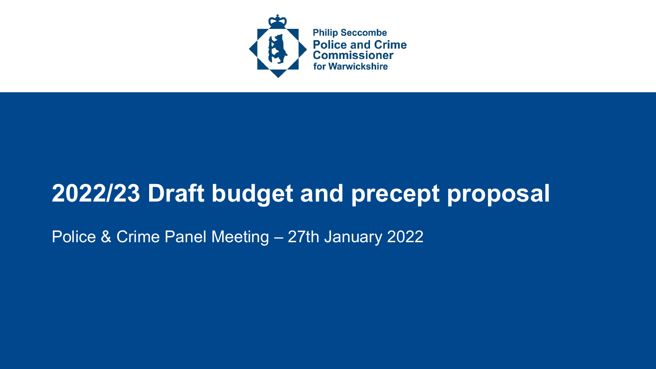

### **2022/23 Draft budget and precept proposal**

Police & Crime Panel Meeting – 27th January 2022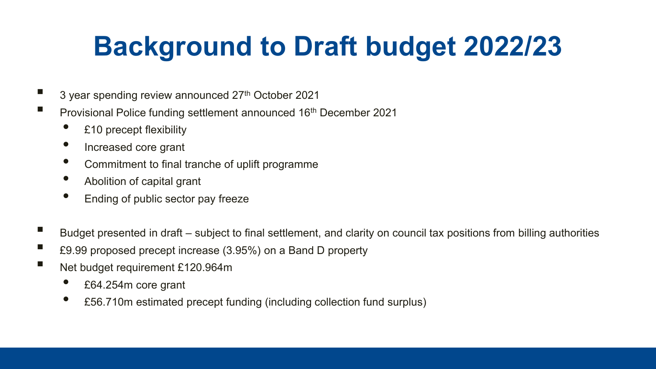# **Background to Draft budget 2022/23**

- 3 year spending review announced 27<sup>th</sup> October 2021
- Provisional Police funding settlement announced 16<sup>th</sup> December 2021
	- £10 precept flexibility
	- Increased core grant
	- Commitment to final tranche of uplift programme
	- Abolition of capital grant
	- Ending of public sector pay freeze
- Budget presented in draft subject to final settlement, and clarity on council tax positions from billing authorities
- £9.99 proposed precept increase (3.95%) on a Band D property
- Net budget requirement £120.964m
	- £64.254m core grant
	- £56.710m estimated precept funding (including collection fund surplus)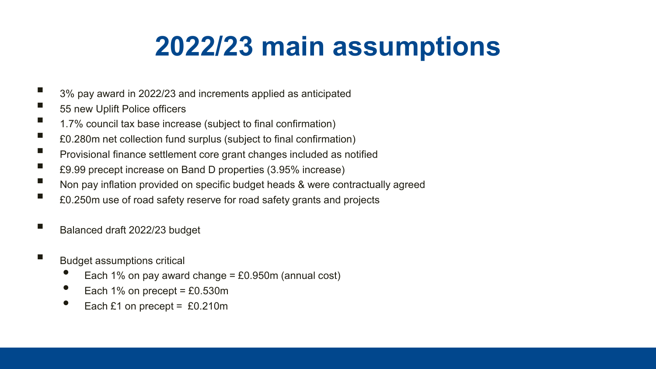## **2022/23 main assumptions**

- 3% pay award in 2022/23 and increments applied as anticipated
- 55 new Uplift Police officers
- 1.7% council tax base increase (subject to final confirmation)
- E0.280m net collection fund surplus (subject to final confirmation)
- Provisional finance settlement core grant changes included as notified<br>■ 00.00 present increase an Band D preparties (3.05% increase)
- £9.99 precept increase on Band D properties (3.95% increase)
- Non pay inflation provided on specific budget heads & were contractually agreed
- £0.250m use of road safety reserve for road safety grants and projects
- Balanced draft 2022/23 budget
- **Budget assumptions critical** 
	- Each 1% on pay award change =  $£0.950m$  (annual cost)
	- Each 1% on precept =  $£0.530m$
	- Each  $£1$  on precept =  $£0.210m$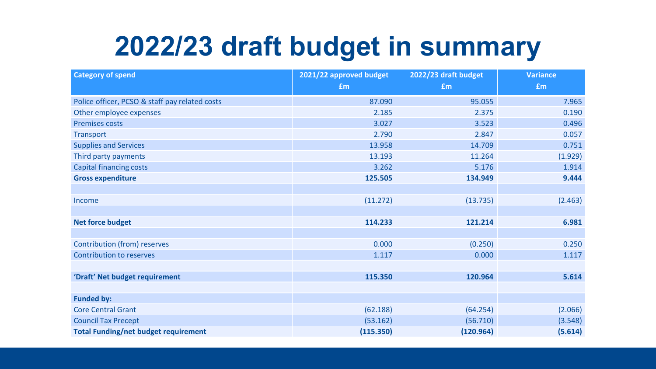### **2022/23 draft budget in summary**

| <b>Category of spend</b>                       | 2021/22 approved budget | 2022/23 draft budget | <b>Variance</b> |
|------------------------------------------------|-------------------------|----------------------|-----------------|
|                                                | £m                      | <b>fm</b>            | £m              |
| Police officer, PCSO & staff pay related costs | 87.090                  | 95.055               | 7.965           |
| Other employee expenses                        | 2.185                   | 2.375                | 0.190           |
| <b>Premises costs</b>                          | 3.027                   | 3.523                | 0.496           |
| <b>Transport</b>                               | 2.790                   | 2.847                | 0.057           |
| <b>Supplies and Services</b>                   | 13.958                  | 14.709               | 0.751           |
| Third party payments                           | 13.193                  | 11.264               | (1.929)         |
| <b>Capital financing costs</b>                 | 3.262                   | 5.176                | 1.914           |
| <b>Gross expenditure</b>                       | 125.505                 | 134.949              | 9.444           |
|                                                |                         |                      |                 |
| Income                                         | (11.272)                | (13.735)             | (2.463)         |
|                                                |                         |                      |                 |
| <b>Net force budget</b>                        | 114.233                 | 121.214              | 6.981           |
|                                                |                         |                      |                 |
| <b>Contribution (from) reserves</b>            | 0.000                   | (0.250)              | 0.250           |
| <b>Contribution to reserves</b>                | 1.117                   | 0.000                | 1.117           |
|                                                |                         |                      |                 |
| 'Draft' Net budget requirement                 | 115.350                 | 120.964              | 5.614           |
|                                                |                         |                      |                 |
| <b>Funded by:</b>                              |                         |                      |                 |
| <b>Core Central Grant</b>                      | (62.188)                | (64.254)             | (2.066)         |
| <b>Council Tax Precept</b>                     | (53.162)                | (56.710)             | (3.548)         |
| <b>Total Funding/net budget requirement</b>    | (115.350)               | (120.964)            | (5.614)         |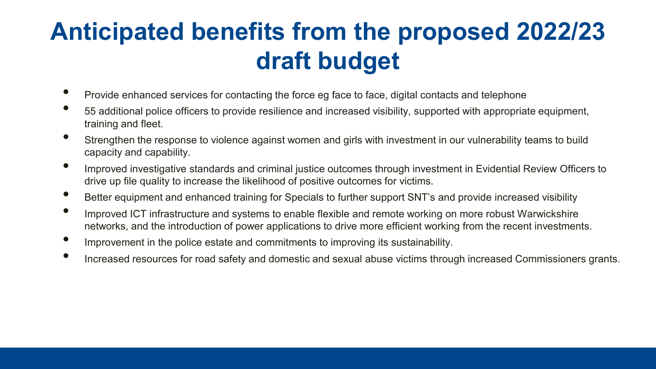#### **Anticipated benefits from the proposed 2022/23 draft budget**

- Provide enhanced services for contacting the force eg face to face, digital contacts and telephone
- 55 additional police officers to provide resilience and increased visibility, supported with appropriate equipment, training and fleet.
- Strengthen the response to violence against women and girls with investment in our vulnerability teams to build capacity and capability.
- Improved investigative standards and criminal justice outcomes through investment in Evidential Review Officers to drive up file quality to increase the likelihood of positive outcomes for victims.
- Better equipment and enhanced training for Specials to further support SNT's and provide increased visibility
- Improved ICT infrastructure and systems to enable flexible and remote working on more robust Warwickshire networks, and the introduction of power applications to drive more efficient working from the recent investments.
- Improvement in the police estate and commitments to improving its sustainability.
- Increased resources for road safety and domestic and sexual abuse victims through increased Commissioners grants.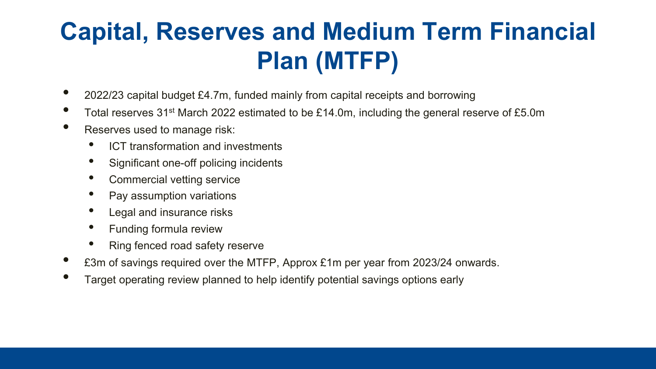### **Capital, Reserves and Medium Term Financial Plan (MTFP)**

- 2022/23 capital budget £4.7m, funded mainly from capital receipts and borrowing
- Total reserves 31<sup>st</sup> March 2022 estimated to be £14.0m, including the general reserve of £5.0m
- Reserves used to manage risk:
	- ICT transformation and investments
	- Significant one-off policing incidents
	- Commercial vetting service
	- Pay assumption variations
	- Legal and insurance risks
	- Funding formula review
	- Ring fenced road safety reserve
- £3m of savings required over the MTFP, Approx £1m per year from 2023/24 onwards.
- Target operating review planned to help identify potential savings options early